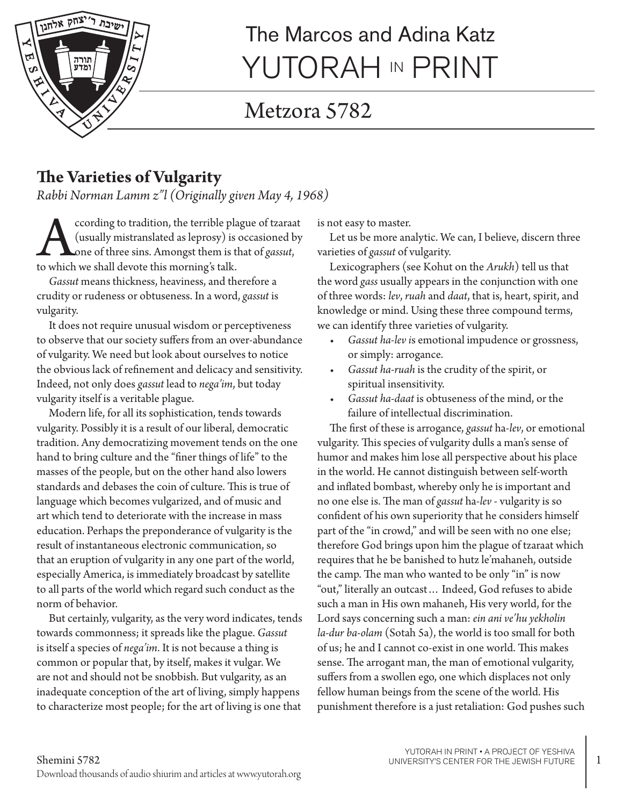

# The Marcos and Adina Katz YUTORAH IN PRINT

## Metzora 5782

### **The Varieties of Vulgarity**

*Rabbi Norman Lamm z"l (Originally given May 4, 1968)*

ccording to tradition, the terrible plague of tzaraat (usually mistranslated as leprosy) is occasioned by one of three sins. Amongst them is that of *gassut*, to which we shall devote this morning's talk.

*Gassut* means thickness, heaviness, and therefore a crudity or rudeness or obtuseness. In a word, *gassut* is vulgarity.

It does not require unusual wisdom or perceptiveness to observe that our society suffers from an over-abundance of vulgarity. We need but look about ourselves to notice the obvious lack of refinement and delicacy and sensitivity. Indeed, not only does *gassut* lead to *nega'im*, but today vulgarity itself is a veritable plague.

Modern life, for all its sophistication, tends towards vulgarity. Possibly it is a result of our liberal, democratic tradition. Any democratizing movement tends on the one hand to bring culture and the "finer things of life" to the masses of the people, but on the other hand also lowers standards and debases the coin of culture. This is true of language which becomes vulgarized, and of music and art which tend to deteriorate with the increase in mass education. Perhaps the preponderance of vulgarity is the result of instantaneous electronic communication, so that an eruption of vulgarity in any one part of the world, especially America, is immediately broadcast by satellite to all parts of the world which regard such conduct as the norm of behavior.

But certainly, vulgarity, as the very word indicates, tends towards commonness; it spreads like the plague. *Gassut* is itself a species of *nega'im*. It is not because a thing is common or popular that, by itself, makes it vulgar. We are not and should not be snobbish. But vulgarity, as an inadequate conception of the art of living, simply happens to characterize most people; for the art of living is one that

is not easy to master.

Let us be more analytic. We can, I believe, discern three varieties of *gassut* of vulgarity.

Lexicographers (see Kohut on the *Arukh*) tell us that the word *gass* usually appears in the conjunction with one of three words: *lev*, *ruah* and *daat*, that is, heart, spirit, and knowledge or mind. Using these three compound terms, we can identify three varieties of vulgarity.

- *• Gassut ha-lev i*s emotional impudence or grossness, or simply: arrogance.
- *• Gassut ha-ruah* is the crudity of the spirit, or spiritual insensitivity.
- *• Gassut ha-daat* is obtuseness of the mind, or the failure of intellectual discrimination.

The first of these is arrogance, *gassut* ha-*lev*, or emotional vulgarity. This species of vulgarity dulls a man's sense of humor and makes him lose all perspective about his place in the world. He cannot distinguish between self-worth and inflated bombast, whereby only he is important and no one else is. The man of *gassut* ha-*lev* - vulgarity is so confident of his own superiority that he considers himself part of the "in crowd," and will be seen with no one else; therefore God brings upon him the plague of tzaraat which requires that he be banished to hutz le'mahaneh, outside the camp. The man who wanted to be only "in" is now "out," literally an outcast… Indeed, God refuses to abide such a man in His own mahaneh, His very world, for the Lord says concerning such a man: *ein ani ve'hu yekholin la-dur ba-olam* (Sotah 5a), the world is too small for both of us; he and I cannot co-exist in one world. This makes sense. The arrogant man, the man of emotional vulgarity, suffers from a swollen ego, one which displaces not only fellow human beings from the scene of the world. His punishment therefore is a just retaliation: God pushes such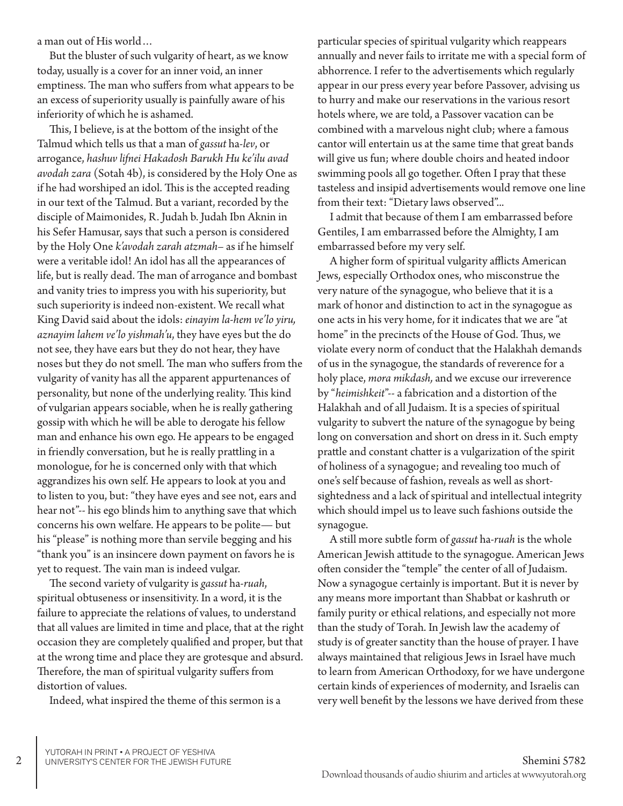a man out of His world…

But the bluster of such vulgarity of heart, as we know today, usually is a cover for an inner void, an inner emptiness. The man who suffers from what appears to be an excess of superiority usually is painfully aware of his inferiority of which he is ashamed.

This, I believe, is at the bottom of the insight of the Talmud which tells us that a man of *gassut* ha-*lev*, or arrogance, *hashuv lifnei Hakadosh Barukh Hu ke'ilu avad avodah zara* (Sotah 4b), is considered by the Holy One as if he had worshiped an idol. This is the accepted reading in our text of the Talmud. But a variant, recorded by the disciple of Maimonides, R. Judah b. Judah Ibn Aknin in his Sefer Hamusar, says that such a person is considered by the Holy One *k'avodah zarah atzmah*– as if he himself were a veritable idol! An idol has all the appearances of life, but is really dead. The man of arrogance and bombast and vanity tries to impress you with his superiority, but such superiority is indeed non-existent. We recall what King David said about the idols: *einayim la-hem ve'lo yiru, aznayim lahem ve'lo yishmah'u*, they have eyes but the do not see, they have ears but they do not hear, they have noses but they do not smell. The man who suffers from the vulgarity of vanity has all the apparent appurtenances of personality, but none of the underlying reality. This kind of vulgarian appears sociable, when he is really gathering gossip with which he will be able to derogate his fellow man and enhance his own ego. He appears to be engaged in friendly conversation, but he is really prattling in a monologue, for he is concerned only with that which aggrandizes his own self. He appears to look at you and to listen to you, but: "they have eyes and see not, ears and hear not"-- his ego blinds him to anything save that which concerns his own welfare. He appears to be polite— but his "please" is nothing more than servile begging and his "thank you" is an insincere down payment on favors he is yet to request. The vain man is indeed vulgar.

The second variety of vulgarity is *gassut* ha-*ruah*, spiritual obtuseness or insensitivity. In a word, it is the failure to appreciate the relations of values, to understand that all values are limited in time and place, that at the right occasion they are completely qualified and proper, but that at the wrong time and place they are grotesque and absurd. Therefore, the man of spiritual vulgarity suffers from distortion of values.

Indeed, what inspired the theme of this sermon is a

particular species of spiritual vulgarity which reappears annually and never fails to irritate me with a special form of abhorrence. I refer to the advertisements which regularly appear in our press every year before Passover, advising us to hurry and make our reservations in the various resort hotels where, we are told, a Passover vacation can be combined with a marvelous night club; where a famous cantor will entertain us at the same time that great bands will give us fun; where double choirs and heated indoor swimming pools all go together. Often I pray that these tasteless and insipid advertisements would remove one line from their text: "Dietary laws observed"...

I admit that because of them I am embarrassed before Gentiles, I am embarrassed before the Almighty, I am embarrassed before my very self.

A higher form of spiritual vulgarity afflicts American Jews, especially Orthodox ones, who misconstrue the very nature of the synagogue, who believe that it is a mark of honor and distinction to act in the synagogue as one acts in his very home, for it indicates that we are "at home" in the precincts of the House of God. Thus, we violate every norm of conduct that the Halakhah demands of us in the synagogue, the standards of reverence for a holy place, *mora mikdash,* and we excuse our irreverence by "*heimishkeit*"-- a fabrication and a distortion of the Halakhah and of all Judaism. It is a species of spiritual vulgarity to subvert the nature of the synagogue by being long on conversation and short on dress in it. Such empty prattle and constant chatter is a vulgarization of the spirit of holiness of a synagogue; and revealing too much of one's self because of fashion, reveals as well as shortsightedness and a lack of spiritual and intellectual integrity which should impel us to leave such fashions outside the synagogue.

A still more subtle form of *gassut* ha-*ruah* is the whole American Jewish attitude to the synagogue. American Jews often consider the "temple" the center of all of Judaism. Now a synagogue certainly is important. But it is never by any means more important than Shabbat or kashruth or family purity or ethical relations, and especially not more than the study of Torah. In Jewish law the academy of study is of greater sanctity than the house of prayer. I have always maintained that religious Jews in Israel have much to learn from American Orthodoxy, for we have undergone certain kinds of experiences of modernity, and Israelis can very well benefit by the lessons we have derived from these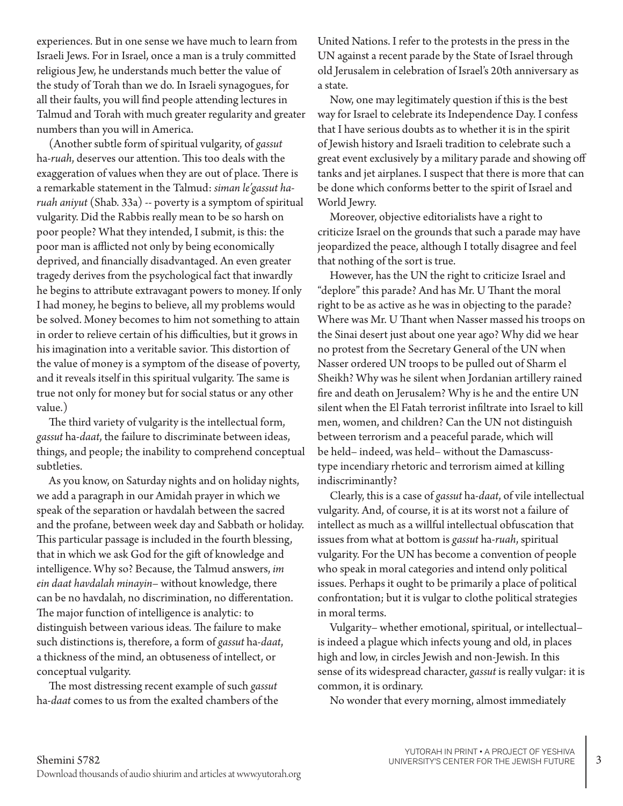experiences. But in one sense we have much to learn from Israeli Jews. For in Israel, once a man is a truly committed religious Jew, he understands much better the value of the study of Torah than we do. In Israeli synagogues, for all their faults, you will find people attending lectures in Talmud and Torah with much greater regularity and greater numbers than you will in America.

(Another subtle form of spiritual vulgarity, of *gassut* ha-*ruah*, deserves our attention. This too deals with the exaggeration of values when they are out of place. There is a remarkable statement in the Talmud: *siman le'gassut haruah aniyut* (Shab. 33a) -- poverty is a symptom of spiritual vulgarity. Did the Rabbis really mean to be so harsh on poor people? What they intended, I submit, is this: the poor man is afflicted not only by being economically deprived, and financially disadvantaged. An even greater tragedy derives from the psychological fact that inwardly he begins to attribute extravagant powers to money. If only I had money, he begins to believe, all my problems would be solved. Money becomes to him not something to attain in order to relieve certain of his difficulties, but it grows in his imagination into a veritable savior. This distortion of the value of money is a symptom of the disease of poverty, and it reveals itself in this spiritual vulgarity. The same is true not only for money but for social status or any other value.)

The third variety of vulgarity is the intellectual form, *gassut* ha-*daat*, the failure to discriminate between ideas, things, and people; the inability to comprehend conceptual subtleties.

As you know, on Saturday nights and on holiday nights, we add a paragraph in our Amidah prayer in which we speak of the separation or havdalah between the sacred and the profane, between week day and Sabbath or holiday. This particular passage is included in the fourth blessing, that in which we ask God for the gift of knowledge and intelligence. Why so? Because, the Talmud answers, *im ein daat havdalah minayin*– without knowledge, there can be no havdalah, no discrimination, no differentation. The major function of intelligence is analytic: to distinguish between various ideas. The failure to make such distinctions is, therefore, a form of *gassut* ha-*daat*, a thickness of the mind, an obtuseness of intellect, or conceptual vulgarity.

The most distressing recent example of such *gassut* ha-*daat* comes to us from the exalted chambers of the United Nations. I refer to the protests in the press in the UN against a recent parade by the State of Israel through old Jerusalem in celebration of Israel's 20th anniversary as a state.

Now, one may legitimately question if this is the best way for Israel to celebrate its Independence Day. I confess that I have serious doubts as to whether it is in the spirit of Jewish history and Israeli tradition to celebrate such a great event exclusively by a military parade and showing off tanks and jet airplanes. I suspect that there is more that can be done which conforms better to the spirit of Israel and World Jewry.

Moreover, objective editorialists have a right to criticize Israel on the grounds that such a parade may have jeopardized the peace, although I totally disagree and feel that nothing of the sort is true.

However, has the UN the right to criticize Israel and "deplore" this parade? And has Mr. U Thant the moral right to be as active as he was in objecting to the parade? Where was Mr. U Thant when Nasser massed his troops on the Sinai desert just about one year ago? Why did we hear no protest from the Secretary General of the UN when Nasser ordered UN troops to be pulled out of Sharm el Sheikh? Why was he silent when Jordanian artillery rained fire and death on Jerusalem? Why is he and the entire UN silent when the El Fatah terrorist infiltrate into Israel to kill men, women, and children? Can the UN not distinguish between terrorism and a peaceful parade, which will be held– indeed, was held– without the Damascusstype incendiary rhetoric and terrorism aimed at killing indiscriminantly?

Clearly, this is a case of *gassut* ha-*daat*, of vile intellectual vulgarity. And, of course, it is at its worst not a failure of intellect as much as a willful intellectual obfuscation that issues from what at bottom is *gassut* ha-*ruah*, spiritual vulgarity. For the UN has become a convention of people who speak in moral categories and intend only political issues. Perhaps it ought to be primarily a place of political confrontation; but it is vulgar to clothe political strategies in moral terms.

Vulgarity– whether emotional, spiritual, or intellectual– is indeed a plague which infects young and old, in places high and low, in circles Jewish and non-Jewish. In this sense of its widespread character, *gassut* is really vulgar: it is common, it is ordinary.

No wonder that every morning, almost immediately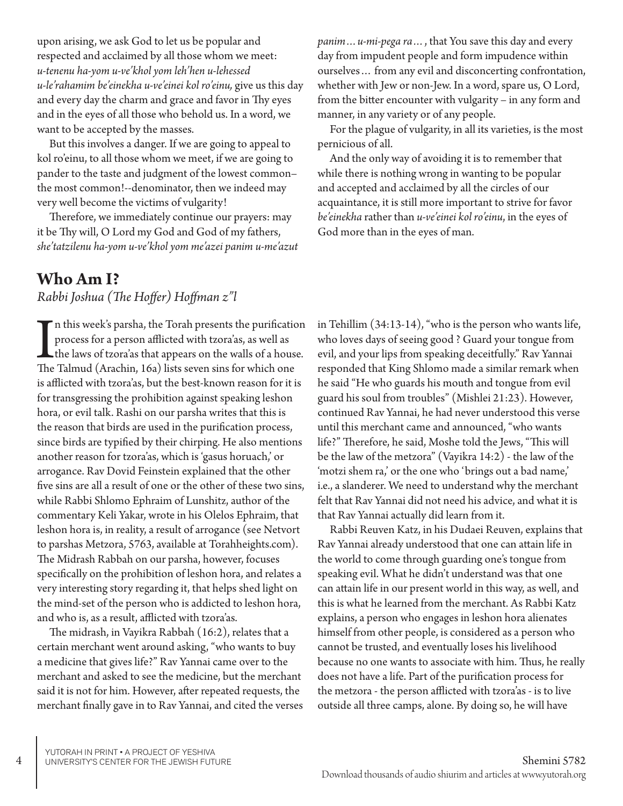upon arising, we ask God to let us be popular and respected and acclaimed by all those whom we meet: *u-tenenu ha-yom u-ve'khol yom leh'hen u-lehessed u-le'rahamim be'einekha u-ve'einei kol ro'einu,* give us this day and every day the charm and grace and favor in Thy eyes and in the eyes of all those who behold us. In a word, we want to be accepted by the masses.

But this involves a danger. If we are going to appeal to kol ro'einu, to all those whom we meet, if we are going to pander to the taste and judgment of the lowest common– the most common!--denominator, then we indeed may very well become the victims of vulgarity!

Therefore, we immediately continue our prayers: may it be Thy will, O Lord my God and God of my fathers, *she'tatzilenu ha-yom u-ve'khol yom me'azei panim u-me'azut* 

#### **Who Am I?**

*Rabbi Joshua (The Hoffer) Hoffman z"l*

In this week's parsha, the Torah presents the purification<br>process for a person afflicted with tzora'as, as well as<br>the laws of tzora'as that appears on the walls of a hous<br>The Talmud (Arachin, 16a) lists seven sins for wh  $\Gamma$ n this week's parsha, the Torah presents the purification process for a person afflicted with tzora'as, as well as the laws of tzora'as that appears on the walls of a house. is afflicted with tzora'as, but the best-known reason for it is for transgressing the prohibition against speaking leshon hora, or evil talk. Rashi on our parsha writes that this is the reason that birds are used in the purification process, since birds are typified by their chirping. He also mentions another reason for tzora'as, which is 'gasus horuach,' or arrogance. Rav Dovid Feinstein explained that the other five sins are all a result of one or the other of these two sins, while Rabbi Shlomo Ephraim of Lunshitz, author of the commentary Keli Yakar, wrote in his Olelos Ephraim, that leshon hora is, in reality, a result of arrogance (see Netvort to parshas Metzora, 5763, available at Torahheights.com). The Midrash Rabbah on our parsha, however, focuses specifically on the prohibition of leshon hora, and relates a very interesting story regarding it, that helps shed light on the mind-set of the person who is addicted to leshon hora, and who is, as a result, afflicted with tzora'as.

The midrash, in Vayikra Rabbah (16:2), relates that a certain merchant went around asking, "who wants to buy a medicine that gives life?" Rav Yannai came over to the merchant and asked to see the medicine, but the merchant said it is not for him. However, after repeated requests, the merchant finally gave in to Rav Yannai, and cited the verses *panim…u-mi-pega ra…*, that You save this day and every day from impudent people and form impudence within ourselves… from any evil and disconcerting confrontation, whether with Jew or non-Jew. In a word, spare us, O Lord, from the bitter encounter with vulgarity – in any form and manner, in any variety or of any people.

For the plague of vulgarity, in all its varieties, is the most pernicious of all.

And the only way of avoiding it is to remember that while there is nothing wrong in wanting to be popular and accepted and acclaimed by all the circles of our acquaintance, it is still more important to strive for favor *be'einekha* rather than *u-ve'einei kol ro'einu*, in the eyes of God more than in the eyes of man.

in Tehillim (34:13-14), "who is the person who wants life, who loves days of seeing good ? Guard your tongue from evil, and your lips from speaking deceitfully." Rav Yannai responded that King Shlomo made a similar remark when he said "He who guards his mouth and tongue from evil guard his soul from troubles" (Mishlei 21:23). However, continued Rav Yannai, he had never understood this verse until this merchant came and announced, "who wants life?" Therefore, he said, Moshe told the Jews, "This will be the law of the metzora" (Vayikra 14:2) - the law of the 'motzi shem ra,' or the one who 'brings out a bad name,' i.e., a slanderer. We need to understand why the merchant felt that Rav Yannai did not need his advice, and what it is that Rav Yannai actually did learn from it.

Rabbi Reuven Katz, in his Dudaei Reuven, explains that Rav Yannai already understood that one can attain life in the world to come through guarding one's tongue from speaking evil. What he didn't understand was that one can attain life in our present world in this way, as well, and this is what he learned from the merchant. As Rabbi Katz explains, a person who engages in leshon hora alienates himself from other people, is considered as a person who cannot be trusted, and eventually loses his livelihood because no one wants to associate with him. Thus, he really does not have a life. Part of the purification process for the metzora - the person afflicted with tzora'as - is to live outside all three camps, alone. By doing so, he will have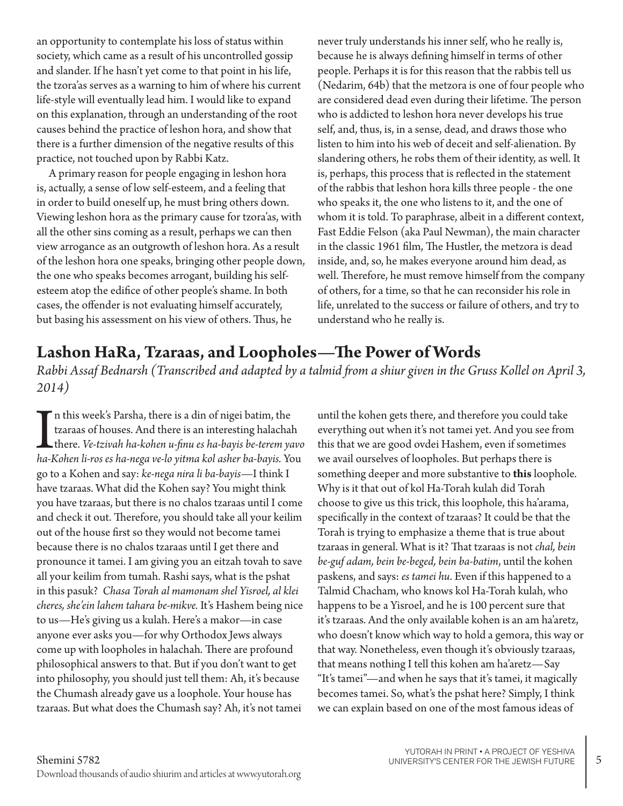an opportunity to contemplate his loss of status within society, which came as a result of his uncontrolled gossip and slander. If he hasn't yet come to that point in his life, the tzora'as serves as a warning to him of where his current life-style will eventually lead him. I would like to expand on this explanation, through an understanding of the root causes behind the practice of leshon hora, and show that there is a further dimension of the negative results of this practice, not touched upon by Rabbi Katz.

A primary reason for people engaging in leshon hora is, actually, a sense of low self-esteem, and a feeling that in order to build oneself up, he must bring others down. Viewing leshon hora as the primary cause for tzora'as, with all the other sins coming as a result, perhaps we can then view arrogance as an outgrowth of leshon hora. As a result of the leshon hora one speaks, bringing other people down, the one who speaks becomes arrogant, building his selfesteem atop the edifice of other people's shame. In both cases, the offender is not evaluating himself accurately, but basing his assessment on his view of others. Thus, he

never truly understands his inner self, who he really is, because he is always defining himself in terms of other people. Perhaps it is for this reason that the rabbis tell us (Nedarim, 64b) that the metzora is one of four people who are considered dead even during their lifetime. The person who is addicted to leshon hora never develops his true self, and, thus, is, in a sense, dead, and draws those who listen to him into his web of deceit and self-alienation. By slandering others, he robs them of their identity, as well. It is, perhaps, this process that is reflected in the statement of the rabbis that leshon hora kills three people - the one who speaks it, the one who listens to it, and the one of whom it is told. To paraphrase, albeit in a different context, Fast Eddie Felson (aka Paul Newman), the main character in the classic 1961 film, The Hustler, the metzora is dead inside, and, so, he makes everyone around him dead, as well. Therefore, he must remove himself from the company of others, for a time, so that he can reconsider his role in life, unrelated to the success or failure of others, and try to understand who he really is.

#### **Lashon HaRa, Tzaraas, and Loopholes—The Power of Words**

*Rabbi Assaf Bednarsh (Transcribed and adapted by a talmid from a shiur given in the Gruss Kollel on April 3, 2014)*

In this week's Parsha, there is a din of nigei batim, the tzaraas of houses. And there is an interesting halachah<br>there. *Ve-tzivah ha-kohen u-finu es ha-bayis be-terem yavo*<br>ha-Kohen li-ros es ha-nega ve-lo yitma kol ashe n this week's Parsha, there is a din of nigei batim, the tzaraas of houses. And there is an interesting halachah there. *Ve-tzivah ha-kohen u-finu es ha-bayis be-terem yavo*  go to a Kohen and say: *ke-nega nira li ba-bayis*—I think I have tzaraas. What did the Kohen say? You might think you have tzaraas, but there is no chalos tzaraas until I come and check it out. Therefore, you should take all your keilim out of the house first so they would not become tamei because there is no chalos tzaraas until I get there and pronounce it tamei. I am giving you an eitzah tovah to save all your keilim from tumah. Rashi says, what is the pshat in this pasuk? *Chasa Torah al mamonam shel Yisroel, al klei cheres, she'ein lahem tahara be-mikve.* It's Hashem being nice to us—He's giving us a kulah. Here's a makor—in case anyone ever asks you—for why Orthodox Jews always come up with loopholes in halachah. There are profound philosophical answers to that. But if you don't want to get into philosophy, you should just tell them: Ah, it's because the Chumash already gave us a loophole. Your house has tzaraas. But what does the Chumash say? Ah, it's not tamei

until the kohen gets there, and therefore you could take everything out when it's not tamei yet. And you see from this that we are good ovdei Hashem, even if sometimes we avail ourselves of loopholes. But perhaps there is something deeper and more substantive to **this** loophole. Why is it that out of kol Ha-Torah kulah did Torah choose to give us this trick, this loophole, this ha'arama, specifically in the context of tzaraas? It could be that the Torah is trying to emphasize a theme that is true about tzaraas in general. What is it? That tzaraas is not *chal, bein be-guf adam, bein be-beged, bein ba-batim*, until the kohen paskens, and says: *es tamei hu*. Even if this happened to a Talmid Chacham, who knows kol Ha-Torah kulah, who happens to be a Yisroel, and he is 100 percent sure that it's tzaraas. And the only available kohen is an am ha'aretz, who doesn't know which way to hold a gemora, this way or that way. Nonetheless, even though it's obviously tzaraas, that means nothing I tell this kohen am ha'aretz—Say "It's tamei"—and when he says that it's tamei, it magically becomes tamei. So, what's the pshat here? Simply, I think we can explain based on one of the most famous ideas of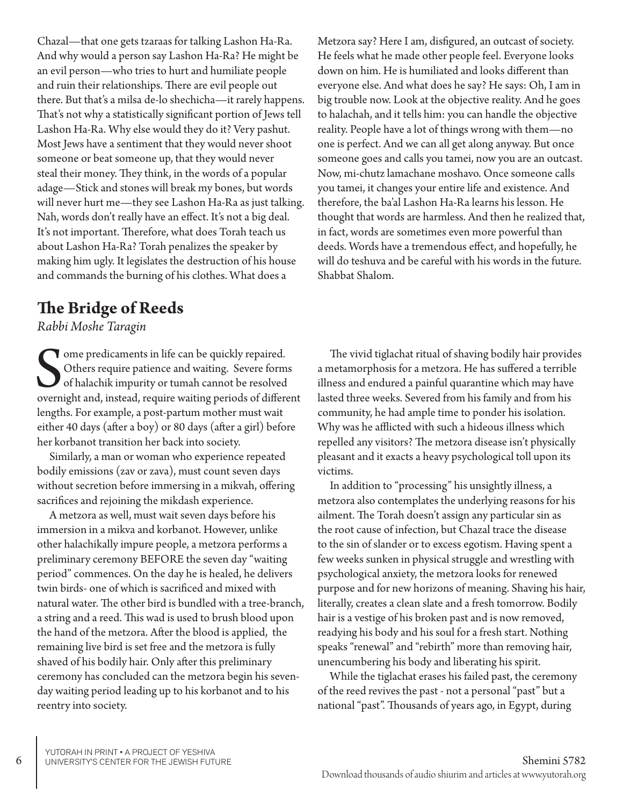Chazal—that one gets tzaraas for talking Lashon Ha-Ra. And why would a person say Lashon Ha-Ra? He might be an evil person—who tries to hurt and humiliate people and ruin their relationships. There are evil people out there. But that's a milsa de-lo shechicha—it rarely happens. That's not why a statistically significant portion of Jews tell Lashon Ha-Ra. Why else would they do it? Very pashut. Most Jews have a sentiment that they would never shoot someone or beat someone up, that they would never steal their money. They think, in the words of a popular adage—Stick and stones will break my bones, but words will never hurt me—they see Lashon Ha-Ra as just talking. Nah, words don't really have an effect. It's not a big deal. It's not important. Therefore, what does Torah teach us about Lashon Ha-Ra? Torah penalizes the speaker by making him ugly. It legislates the destruction of his house and commands the burning of his clothes. What does a

#### **The Bridge of Reeds**

*Rabbi Moshe Taragin*

Some predicaments in life can be quickly repaired.<br>
Others require patience and waiting. Severe forms<br>
of halachik impurity or tumah cannot be resolved<br>
overnight and, instead, require waiting periods of different Tome predicaments in life can be quickly repaired. Others require patience and waiting. Severe forms of halachik impurity or tumah cannot be resolved lengths. For example, a post-partum mother must wait either 40 days (after a boy) or 80 days (after a girl) before her korbanot transition her back into society.

Similarly, a man or woman who experience repeated bodily emissions (zav or zava), must count seven days without secretion before immersing in a mikvah, offering sacrifices and rejoining the mikdash experience.

A metzora as well, must wait seven days before his immersion in a mikva and korbanot. However, unlike other halachikally impure people, a metzora performs a preliminary ceremony BEFORE the seven day "waiting period" commences. On the day he is healed, he delivers twin birds- one of which is sacrificed and mixed with natural water. The other bird is bundled with a tree-branch, a string and a reed. This wad is used to brush blood upon the hand of the metzora. After the blood is applied, the remaining live bird is set free and the metzora is fully shaved of his bodily hair. Only after this preliminary ceremony has concluded can the metzora begin his sevenday waiting period leading up to his korbanot and to his reentry into society.

Metzora say? Here I am, disfigured, an outcast of society. He feels what he made other people feel. Everyone looks down on him. He is humiliated and looks different than everyone else. And what does he say? He says: Oh, I am in big trouble now. Look at the objective reality. And he goes to halachah, and it tells him: you can handle the objective reality. People have a lot of things wrong with them—no one is perfect. And we can all get along anyway. But once someone goes and calls you tamei, now you are an outcast. Now, mi-chutz lamachane moshavo. Once someone calls you tamei, it changes your entire life and existence. And therefore, the ba'al Lashon Ha-Ra learns his lesson. He thought that words are harmless. And then he realized that, in fact, words are sometimes even more powerful than deeds. Words have a tremendous effect, and hopefully, he will do teshuva and be careful with his words in the future. Shabbat Shalom.

The vivid tiglachat ritual of shaving bodily hair provides a metamorphosis for a metzora. He has suffered a terrible illness and endured a painful quarantine which may have lasted three weeks. Severed from his family and from his community, he had ample time to ponder his isolation. Why was he afflicted with such a hideous illness which repelled any visitors? The metzora disease isn't physically pleasant and it exacts a heavy psychological toll upon its victims.

In addition to "processing" his unsightly illness, a metzora also contemplates the underlying reasons for his ailment. The Torah doesn't assign any particular sin as the root cause of infection, but Chazal trace the disease to the sin of slander or to excess egotism. Having spent a few weeks sunken in physical struggle and wrestling with psychological anxiety, the metzora looks for renewed purpose and for new horizons of meaning. Shaving his hair, literally, creates a clean slate and a fresh tomorrow. Bodily hair is a vestige of his broken past and is now removed, readying his body and his soul for a fresh start. Nothing speaks "renewal" and "rebirth" more than removing hair, unencumbering his body and liberating his spirit.

While the tiglachat erases his failed past, the ceremony of the reed revives the past - not a personal "past" but a national "past". Thousands of years ago, in Egypt, during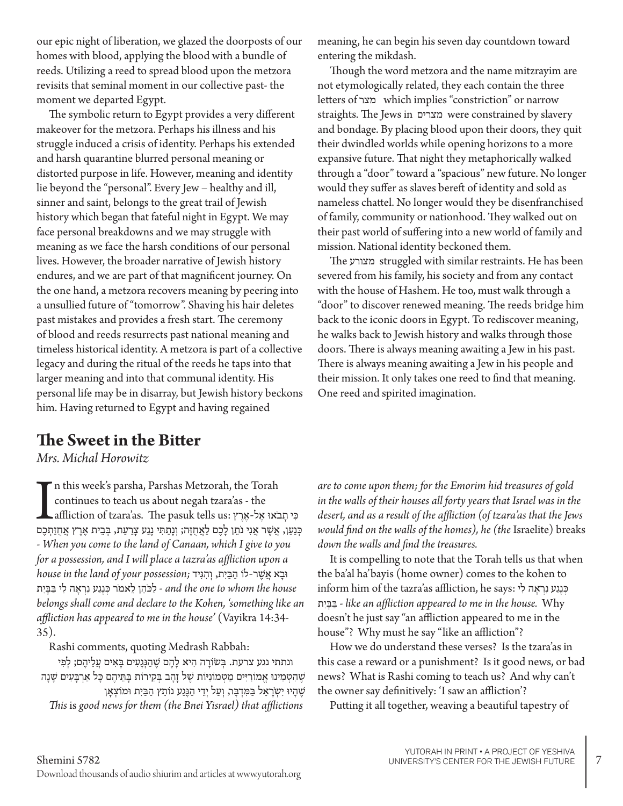our epic night of liberation, we glazed the doorposts of our homes with blood, applying the blood with a bundle of reeds. Utilizing a reed to spread blood upon the metzora revisits that seminal moment in our collective past- the moment we departed Egypt.

The symbolic return to Egypt provides a very different makeover for the metzora. Perhaps his illness and his struggle induced a crisis of identity. Perhaps his extended and harsh quarantine blurred personal meaning or distorted purpose in life. However, meaning and identity lie beyond the "personal". Every Jew – healthy and ill, sinner and saint, belongs to the great trail of Jewish history which began that fateful night in Egypt. We may face personal breakdowns and we may struggle with meaning as we face the harsh conditions of our personal lives. However, the broader narrative of Jewish history endures, and we are part of that magnificent journey. On the one hand, a metzora recovers meaning by peering into a unsullied future of "tomorrow". Shaving his hair deletes past mistakes and provides a fresh start. The ceremony of blood and reeds resurrects past national meaning and timeless historical identity. A metzora is part of a collective legacy and during the ritual of the reeds he taps into that larger meaning and into that communal identity. His personal life may be in disarray, but Jewish history beckons him. Having returned to Egypt and having regained

#### **The Sweet in the Bitter**

*Mrs. Michal Horowitz*

n this week's parsha, Parshas Metzorah, the Torah<br>
continues to teach us about negah tzara'as - the<br>
בִּנְשָׂן, אֲלֶא יָאֲנִי נֹתֵן לְכֶם לַאֲחֻזָּה; וְנָתַתִּי נֶגַע עֲרַעַת, בְּבֵית אֶרֶץ אֲחֲזִתְכֶם יִ n this week's parsha, Parshas Metzorah, the Torah continues to teach us about negah tzara'as - the ּכִ י תָ בֹאּו אֶ ל-אֶ רֶ ץ :us tells pasuk The .as'tzara of affliction - *When you come to the land of Canaan, which I give to you for a possession, and I will place a tazra'as affliction upon a*  ּובָ א אֲ ׁשֶ ר-לֹו הַ ּבַ יִת, וְ הִ ּגִ יד *;possession your of land the in house* and the one to whom the house - לַכּהֵן לֵאמֹר כְּנֵגַע נִרְאָה לִי בַּבָּיִת *belongs shall come and declare to the Kohen, 'something like an affliction has appeared to me in the house'* (Vayikra 14:34- 35).

Rashi comments, quoting Medrash Rabbah:

ונתתי נגע צרעת. בְּשׂוֹרָה הִיא לָהֶם שֶׁהַנְּגָעִים בָּאִים עֲלֵיהֶם; לְפִי ֿשֶׁהִטְמִינוּ אֱמוֹרִיִּים מַטְמוֹנִיּוֹת שֶׁל זָהָב בְּקִירוֹת בָּתֵיהֶם כָּל אַרְבָּעִים שָׁנָה ּשֶׁהָיוּ יִשְׂרָאֵל בַּמִּדְבָּר, וְעַל יְדֵי הַגֶּגַע נוֹתֵץ הַבַּיִת וּמוֹצְאָן *This* is *good news for them (the Bnei Yisrael) that afflictions* 

meaning, he can begin his seven day countdown toward entering the mikdash.

Though the word metzora and the name mitzrayim are not etymologically related, they each contain the three letters of מצר which implies "constriction" or narrow straights. The Jews in מצרים were constrained by slavery and bondage. By placing blood upon their doors, they quit their dwindled worlds while opening horizons to a more expansive future. That night they metaphorically walked through a "door" toward a "spacious" new future. No longer would they suffer as slaves bereft of identity and sold as nameless chattel. No longer would they be disenfranchised of family, community or nationhood. They walked out on their past world of suffering into a new world of family and mission. National identity beckoned them.

The מצורע struggled with similar restraints. He has been severed from his family, his society and from any contact with the house of Hashem. He too, must walk through a "door" to discover renewed meaning. The reeds bridge him back to the iconic doors in Egypt. To rediscover meaning, he walks back to Jewish history and walks through those doors. There is always meaning awaiting a Jew in his past. There is always meaning awaiting a Jew in his people and their mission. It only takes one reed to find that meaning. One reed and spirited imagination.

*are to come upon them; for the Emorim hid treasures of gold in the walls of their houses all forty years that Israel was in the desert, and as a result of the affliction (of tzara'as that the Jews would find on the walls of the homes), he (the* Israelite) breaks *down the walls and find the treasures.*

It is compelling to note that the Torah tells us that when the ba'al ha'bayis (home owner) comes to the kohen to inform him of the tazra'as affliction, he says: כְּנֶגַע נִרְאָה לִי תִי ָבּ ַבּ - *like an affliction appeared to me in the house.* Why doesn't he just say "an affliction appeared to me in the house"? Why must he say "like an affliction"?

How we do understand these verses? Is the tzara'as in this case a reward or a punishment? Is it good news, or bad news? What is Rashi coming to teach us? And why can't the owner say definitively: 'I saw an affliction'?

Putting it all together, weaving a beautiful tapestry of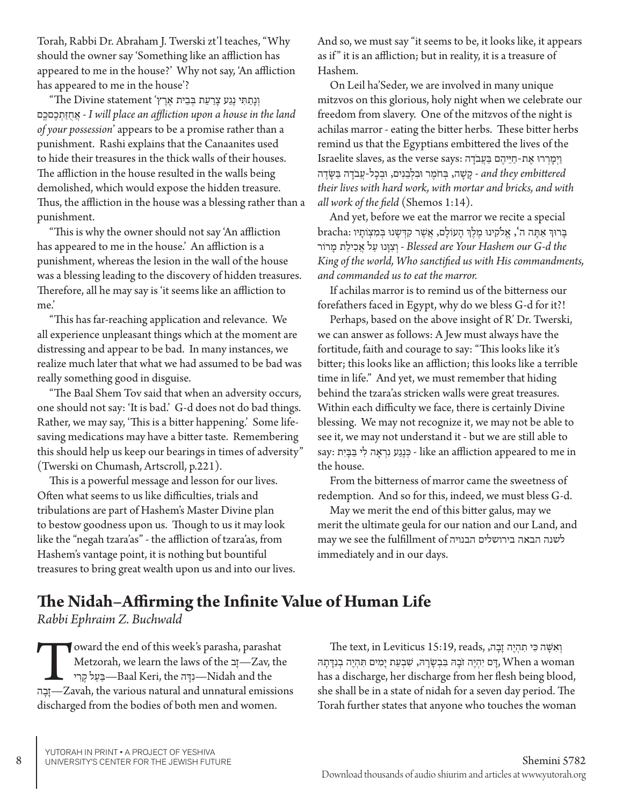Torah, Rabbi Dr. Abraham J. Twerski zt'l teaches, "Why should the owner say 'Something like an affliction has appeared to me in the house?' Why not say, 'An affliction has appeared to me in the house'?

וְ נָתַ ת ִ י נֶגַ ע צָ רַ עַ ת ב ְ בֵ ית אֶ רֶ ץ' statement Divine The" םֽ ֶםכ ֶכ ְת ַז ֻח ֲא - *I will place an affliction upon a house in the land of your possession*' appears to be a promise rather than a punishment. Rashi explains that the Canaanites used to hide their treasures in the thick walls of their houses. The affliction in the house resulted in the walls being demolished, which would expose the hidden treasure. Thus, the affliction in the house was a blessing rather than a punishment.

"This is why the owner should not say 'An affliction has appeared to me in the house.' An affliction is a punishment, whereas the lesion in the wall of the house was a blessing leading to the discovery of hidden treasures. Therefore, all he may say is 'it seems like an affliction to me.'

"This has far-reaching application and relevance. We all experience unpleasant things which at the moment are distressing and appear to be bad. In many instances, we realize much later that what we had assumed to be bad was really something good in disguise.

"The Baal Shem Tov said that when an adversity occurs, one should not say: 'It is bad.' G-d does not do bad things. Rather, we may say, 'This is a bitter happening.' Some lifesaving medications may have a bitter taste. Remembering this should help us keep our bearings in times of adversity" (Twerski on Chumash, Artscroll, p.221).

This is a powerful message and lesson for our lives. Often what seems to us like difficulties, trials and tribulations are part of Hashem's Master Divine plan to bestow goodness upon us. Though to us it may look like the "negah tzara'as" - the affliction of tzara'as, from Hashem's vantage point, it is nothing but bountiful treasures to bring great wealth upon us and into our lives. And so, we must say "it seems to be, it looks like, it appears as if " it is an affliction; but in reality, it is a treasure of Hashem.

On Leil ha'Seder, we are involved in many unique mitzvos on this glorious, holy night when we celebrate our freedom from slavery. One of the mitzvos of the night is achilas marror - eating the bitter herbs. These bitter herbs remind us that the Egyptians embittered the lives of the Israelite slaves, as the verse says: וַיְמַרְרוּ אֶת-חַיֵּיהֶם בַּעֲבֹדָה and they embittered - קָשָׁה, בִּחֹמֵר וּבִלְבֵנִים, וּבְכָל-עֲבֹדָה בַּשֶּׂדֵה *their lives with hard work, with mortar and bricks, and with all work of the field* (Shemos 1:14).

And yet, before we eat the marror we recite a special בְּרוּךְ אַתָּה ה', אֱלֹקִינוּ מֶלֶךְ הַעוֹלַם, אֲשֶׁר קִדְּשַנוּ בְּמִצְוֹתֵיו :bracha  *the d-G our Hashem Your are Blessed* - וְ צִ וָ נּו עַ ל אֲ כִ ילַ ת מָ רֹור *King of the world, Who sanctified us with His commandments, and commanded us to eat the marror.* 

If achilas marror is to remind us of the bitterness our forefathers faced in Egypt, why do we bless G-d for it?!

Perhaps, based on the above insight of R' Dr. Twerski, we can answer as follows: A Jew must always have the fortitude, faith and courage to say: "This looks like it's bitter; this looks like an affliction; this looks like a terrible time in life." And yet, we must remember that hiding behind the tzara'as stricken walls were great treasures. Within each difficulty we face, there is certainly Divine blessing. We may not recognize it, we may not be able to see it, we may not understand it - but we are still able to say: בְּנֵעָ נִרְאָה לִי בַּבָּיִת - like an affliction appeared to me in the house.

From the bitterness of marror came the sweetness of redemption. And so for this, indeed, we must bless G-d.

May we merit the end of this bitter galus, may we merit the ultimate geula for our nation and our Land, and may we see the fulfillment of הבנויה בירושלים הבאה לשנה immediately and in our days.

#### **The Nidah–Affirming the Infinite Value of Human Life**

*Rabbi Ephraim Z. Buchwald*

Toward the end of this week's parasha, parashat<br>Metzorah, we learn the laws of the תַעֲל קֵרּ<br>—Zavah, the various natural and unnatural emissions<br>—Texters natural and unnatural emissions Metzorah, we learn the laws of the בָז—Zav, the יִדָּה Baal Keri, the —נִדָּה Nidah and the discharged from the bodies of both men and women.

 $\tau$ וְאִשֶּׁה כִּי תִהְיֶה זָבָה, reads, וְאִשֶּׁה כִּי תִהְיֶה זָבָה הַ יָּהְיֶה בְנָדָּתָה יִהְיֶה זֹבָהּ בְּבְשָׂרָהּ, שְׁבְעַת יָמִים תְּהָיֶה בְנִדָּתָה, When a woman has a discharge, her discharge from her flesh being blood, she shall be in a state of nidah for a seven day period. The Torah further states that anyone who touches the woman